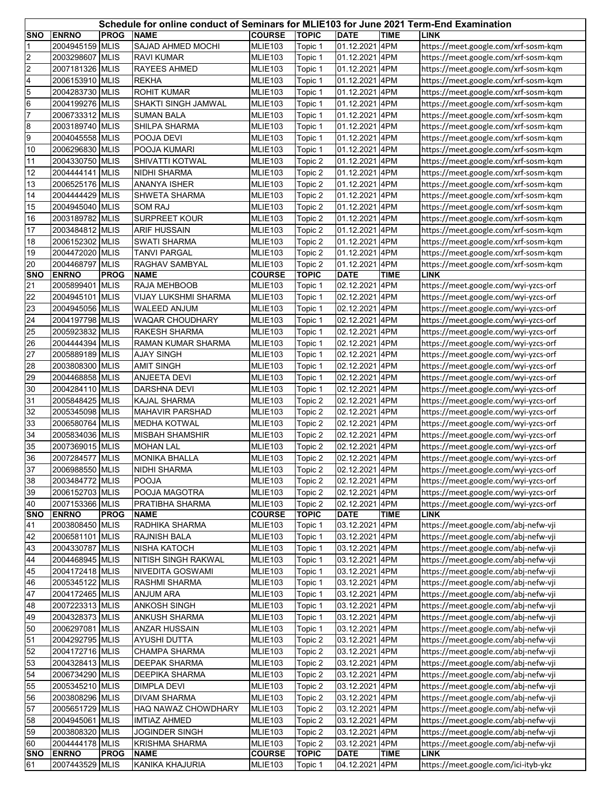|                          | Schedule for online conduct of Seminars for MLIE103 for June 2021 Term-End Examination |             |                                               |                                 |                         |                                  |             |                                                                              |  |  |
|--------------------------|----------------------------------------------------------------------------------------|-------------|-----------------------------------------------|---------------------------------|-------------------------|----------------------------------|-------------|------------------------------------------------------------------------------|--|--|
| <b>SNO</b>               | <b>ENRNO</b>                                                                           | <b>PROG</b> | <b>NAME</b>                                   | <b>COURSE</b>                   | <b>TOPIC</b>            | <b>DATE</b>                      | <b>TIME</b> | <b>LINK</b>                                                                  |  |  |
| 1                        | 2004945159 MLIS                                                                        |             | SAJAD AHMED MOCHI                             | MLIE103                         | Topic 1                 | 01.12.2021 4PM                   |             | https://meet.google.com/xrf-sosm-kqm                                         |  |  |
| $\overline{2}$           | 2003298607 MLIS                                                                        |             | RAVI KUMAR                                    | MLIE103                         | Topic 1                 | 01.12.2021 4PM                   |             | https://meet.google.com/xrf-sosm-kqm                                         |  |  |
| $\overline{2}$           | 2007181326 MLIS                                                                        |             | RAYEES AHMED                                  | MLIE103                         | Topic 1                 | 01.12.2021 4PM                   |             | https://meet.google.com/xrf-sosm-kqm                                         |  |  |
| $\overline{\mathcal{A}}$ | 2006153910 MLIS                                                                        |             | <b>REKHA</b>                                  | MLIE103                         | Topic 1                 | 01.12.2021 4PM                   |             | https://meet.google.com/xrf-sosm-kqm                                         |  |  |
| 5                        | 2004283730 MLIS                                                                        |             | <b>ROHIT KUMAR</b>                            | <b>MLIE103</b>                  | Topic 1                 | 01.12.2021 4PM                   |             | https://meet.google.com/xrf-sosm-kqm                                         |  |  |
| $6\phantom{.}6$          | 2004199276 MLIS                                                                        |             | SHAKTI SINGH JAMWAL                           | MLIE103                         | Topic 1                 | 01.12.2021 4PM                   |             | https://meet.google.com/xrf-sosm-kqm                                         |  |  |
| 7                        | 2006733312 MLIS                                                                        |             | SUMAN BALA                                    | MLIE103                         | Topic 1                 | 01.12.2021 4PM                   |             | https://meet.google.com/xrf-sosm-kqm                                         |  |  |
| 8                        | 2003189740 MLIS                                                                        |             | SHILPA SHARMA                                 | MLIE103                         | Topic 1                 | 01.12.2021 4PM                   |             | https://meet.google.com/xrf-sosm-kqm                                         |  |  |
| 9                        | 2004045558 MLIS                                                                        |             | POOJA DEVI                                    | <b>MLIE103</b>                  | Topic 1                 | 01.12.2021 4PM                   |             |                                                                              |  |  |
| 10                       | 2006296830 MLIS                                                                        |             | POOJA KUMARI                                  | MLIE103                         | Topic 1                 | 01.12.2021 4PM                   |             | https://meet.google.com/xrf-sosm-kqm                                         |  |  |
| 11                       | 2004330750 MLIS                                                                        |             | SHIVATTI KOTWAL                               | MLIE103                         | Topic 2                 | 01.12.2021 4PM                   |             | https://meet.google.com/xrf-sosm-kqm                                         |  |  |
| 12                       | 2004444141 MLIS                                                                        |             | NIDHI SHARMA                                  |                                 |                         | 01.12.2021 4PM                   |             | https://meet.google.com/xrf-sosm-kqm                                         |  |  |
| 13                       | 2006525176 MLIS                                                                        |             | ANANYA ISHER                                  | MLIE103<br>MLIE103              | Topic 2                 | 01.12.2021 4PM                   |             | https://meet.google.com/xrf-sosm-kqm<br>https://meet.google.com/xrf-sosm-kqm |  |  |
|                          |                                                                                        |             | SHWETA SHARMA                                 |                                 | Topic 2                 |                                  |             |                                                                              |  |  |
| 14<br>15                 | 2004444429 MLIS<br>2004945040 MLIS                                                     |             | <b>SOM RAJ</b>                                | MLIE103<br>MLIE103              | Topic 2                 | 01.12.2021 4PM<br>01.12.2021 4PM |             | https://meet.google.com/xrf-sosm-kqm                                         |  |  |
| $16\,$                   |                                                                                        |             |                                               |                                 | Topic 2                 | 01.12.2021 4PM                   |             | https://meet.google.com/xrf-sosm-kqm                                         |  |  |
|                          | 2003189782 MLIS                                                                        |             | SURPREET KOUR                                 | MLIE103                         | Topic 2                 |                                  |             | https://meet.google.com/xrf-sosm-kqm                                         |  |  |
| 17                       | 2003484812 MLIS                                                                        |             | <b>ARIF HUSSAIN</b>                           | MLIE103                         | Topic 2                 | 01.12.2021 4PM                   |             | https://meet.google.com/xrf-sosm-kqm                                         |  |  |
| 18                       | 2006152302 MLIS                                                                        |             | <b>SWATI SHARMA</b>                           | MLIE103                         | Topic 2                 | 01.12.2021 4PM                   |             | https://meet.google.com/xrf-sosm-kqm                                         |  |  |
| 19                       | 2004472020 MLIS                                                                        |             | <b>TANVI PARGAL</b>                           | MLIE103                         | Topic 2                 | 01.12.2021 4PM                   |             | https://meet.google.com/xrf-sosm-kqm                                         |  |  |
| 20<br><b>SNO</b>         | 2004468797 MLIS<br><b>ENRNO</b>                                                        | <b>PROG</b> | RAGHAV SAMBYAL<br><b>NAME</b>                 | MLIE103<br><b>COURSE</b>        | Topic 2<br><b>TOPIC</b> | 01.12.2021 4PM<br><b>DATE</b>    | <b>TIME</b> | https://meet.google.com/xrf-sosm-kqm<br><b>LINK</b>                          |  |  |
| 21                       | 2005899401 MLIS                                                                        |             | RAJA MEHBOOB                                  | MLIE103                         | Topic 1                 | 02.12.2021                       | 4PM         |                                                                              |  |  |
| 22                       | 2004945101 MLIS                                                                        |             | VIJAY LUKSHMI SHARMA                          | MLIE103                         | Topic 1                 | 02.12.2021 4PM                   |             | https://meet.google.com/wyi-yzcs-orf<br>https://meet.google.com/wyi-yzcs-orf |  |  |
| 23                       | 2004945056 MLIS                                                                        |             | <b>WALEED ANJUM</b>                           | MLIE103                         | Topic 1                 | 02.12.2021                       | 4PM         | https://meet.google.com/wyi-yzcs-orf                                         |  |  |
| 24                       | 2004197798 MLIS                                                                        |             | WAQAR CHOUDHARY                               | MLIE103                         |                         | 02.12.2021 4PM                   |             |                                                                              |  |  |
| 25                       | 2005923832 MLIS                                                                        |             | RAKESH SHARMA                                 | MLIE103                         | Topic 1                 | 02.12.2021 4PM                   |             | https://meet.google.com/wyi-yzcs-orf                                         |  |  |
|                          | 2004444394 MLIS                                                                        |             | RAMAN KUMAR SHARMA                            |                                 | Topic 1                 | 02.12.2021 4PM                   |             | https://meet.google.com/wyi-yzcs-orf                                         |  |  |
| 26<br>27                 |                                                                                        |             |                                               | MLIE103                         | Topic 1                 | 02.12.2021 4PM                   |             | https://meet.google.com/wyi-yzcs-orf                                         |  |  |
|                          | 2005889189 MLIS                                                                        |             | <b>AJAY SINGH</b>                             | MLIE103                         | Topic 1                 |                                  |             | https://meet.google.com/wyi-yzcs-orf                                         |  |  |
| 28<br>29                 | 2003808300 MLIS<br>2004468858 MLIS                                                     |             | <b>AMIT SINGH</b>                             | <b>MLIE103</b>                  | Topic 1                 | 02.12.2021 4PM<br>02.12.2021 4PM |             | https://meet.google.com/wyi-yzcs-orf                                         |  |  |
| 30                       |                                                                                        |             | ANJEETA DEVI                                  | MLIE103                         | Topic 1                 |                                  |             | https://meet.google.com/wyi-yzcs-orf                                         |  |  |
|                          | 2004284110 MLIS                                                                        |             | DARSHNA DEVI                                  | MLIE103                         | Topic 1                 | 02.12.2021 4PM                   |             | https://meet.google.com/wyi-yzcs-orf                                         |  |  |
| 31                       | 2005848425 MLIS<br>2005345098 MLIS                                                     |             | <b>KAJAL SHARMA</b>                           | MLIE103                         | Topic 2                 | 02.12.2021 4PM                   |             | https://meet.google.com/wyi-yzcs-orf                                         |  |  |
| 32                       | 2006580764 MLIS                                                                        |             | <b>MAHAVIR PARSHAD</b><br><b>MEDHA KOTWAL</b> | MLIE103                         | Topic 2                 | 02.12.2021 4PM                   |             | https://meet.google.com/wyi-yzcs-orf                                         |  |  |
| 33                       |                                                                                        |             |                                               | MLIE103                         | Topic 2                 | 02.12.2021 4PM                   |             | https://meet.google.com/wyi-yzcs-orf                                         |  |  |
| 34                       | 2005834036 MLIS                                                                        |             | <b>MISBAH SHAMSHIR</b>                        | <b>MLIE103</b>                  | Topic 2                 | 02.12.2021 4PM                   |             | https://meet.google.com/wyi-yzcs-orf                                         |  |  |
| 35<br>36                 | 2007369015 MLIS                                                                        |             | <b>MOHAN LAL</b>                              | MLIE103                         | Topic 2                 | 02.12.2021                       | 4PM         | https://meet.google.com/wyi-yzcs-orf                                         |  |  |
|                          | 2007284577 MLIS<br>2006988550 MLIS                                                     |             | <b>MONIKA BHALLA</b>                          | MLIE103<br><b>MLIE103</b>       | Topic 2                 | 02.12.2021 4PM<br>02.12.2021 4PM |             | https://meet.google.com/wyi-yzcs-orf                                         |  |  |
| 37                       |                                                                                        |             | NIDHI SHARMA                                  |                                 | Topic 2                 |                                  |             | https://meet.google.com/wyi-yzcs-orf<br>https://meet.google.com/wyi-yzcs-orf |  |  |
| 38<br>39                 | 2003484772 MLIS                                                                        |             | <b>POOJA</b>                                  | MLIE103                         | Topic 2                 | 02.12.2021 4PM<br>02.12.2021 4PM |             |                                                                              |  |  |
|                          | 2006152703 MLIS                                                                        |             | POOJA MAGOTRA                                 | MLIE103                         | Topic 2                 |                                  |             | https://meet.google.com/wyi-yzcs-orf                                         |  |  |
| 40<br><b>SNO</b>         | 2007153366 MLIS<br><b>ENRNO</b>                                                        | <b>PROG</b> | PRATIBHA SHARMA<br><b>NAME</b>                | <b>MLIE103</b><br><b>COURSE</b> | Topic 2<br><b>TOPIC</b> | 02.12.2021 4PM<br><b>DATE</b>    | <b>TIME</b> | https://meet.google.com/wyi-yzcs-orf<br><b>LINK</b>                          |  |  |
| 41                       | 2003808450 MLIS                                                                        |             | RADHIKA SHARMA                                | MLIE103                         | Topic 1                 | 03.12.2021 4PM                   |             | https://meet.google.com/abj-nefw-vji                                         |  |  |
| 42                       | 2006581101 MLIS                                                                        |             | RAJNISH BALA                                  | MLIE103                         | Topic 1                 | 03.12.2021 4PM                   |             | https://meet.google.com/abj-nefw-vji                                         |  |  |
| 43                       | 2004330787 MLIS                                                                        |             | NISHA KATOCH                                  | MLIE103                         | Topic 1                 | 03.12.2021 4PM                   |             | https://meet.google.com/abj-nefw-vji                                         |  |  |
| 44                       | 2004468945 MLIS                                                                        |             | NITISH SINGH RAKWAL                           | MLIE103                         | Topic 1                 | 03.12.2021 4PM                   |             | https://meet.google.com/abj-nefw-vji                                         |  |  |
| 45                       | 2004172418 MLIS                                                                        |             | NIVEDITA GOSWAMI                              | MLIE103                         | Topic 1                 | 03.12.2021 4PM                   |             | https://meet.google.com/abj-nefw-vji                                         |  |  |
| 46                       | 2005345122 MLIS                                                                        |             | RASHMI SHARMA                                 | MLIE103                         | Topic 1                 | 03.12.2021 4PM                   |             | https://meet.google.com/abj-nefw-vji                                         |  |  |
| 47                       | 2004172465 MLIS                                                                        |             | ANJUM ARA                                     | MLIE103                         | Topic 1                 | 03.12.2021 4PM                   |             | https://meet.google.com/abj-nefw-vji                                         |  |  |
| 48                       | 2007223313 MLIS                                                                        |             | ANKOSH SINGH                                  | MLIE103                         | Topic 1                 | 03.12.2021 4PM                   |             | https://meet.google.com/abj-nefw-vji                                         |  |  |
| 49                       | 2004328373 MLIS                                                                        |             | ANKUSH SHARMA                                 | MLIE103                         | Topic 1                 | 03.12.2021 4PM                   |             | https://meet.google.com/abj-nefw-vji                                         |  |  |
| 50                       | 2006297081 MLIS                                                                        |             | ANZAR HUSSAIN                                 | MLIE103                         | Topic 1                 | 03.12.2021 4PM                   |             | https://meet.google.com/abj-nefw-vji                                         |  |  |
| 51                       | 2004292795 MLIS                                                                        |             | AYUSHI DUTTA                                  | MLIE103                         | Topic 2                 | 03.12.2021 4PM                   |             | https://meet.google.com/abj-nefw-vji                                         |  |  |
| 52                       | 2004172716 MLIS                                                                        |             | CHAMPA SHARMA                                 | MLIE103                         | Topic 2                 | 03.12.2021 4PM                   |             | https://meet.google.com/abj-nefw-vji                                         |  |  |
| 53                       | 2004328413 MLIS                                                                        |             | DEEPAK SHARMA                                 | MLIE103                         | Topic 2                 | 03.12.2021 4PM                   |             | https://meet.google.com/abj-nefw-vji                                         |  |  |
| 54                       | 2006734290 MLIS                                                                        |             | DEEPIKA SHARMA                                | MLIE103                         | Topic 2                 | 03.12.2021 4PM                   |             | https://meet.google.com/abj-nefw-vji                                         |  |  |
| 55                       | 2005345210 MLIS                                                                        |             |                                               |                                 |                         |                                  |             | https://meet.google.com/abj-nefw-vji                                         |  |  |
|                          |                                                                                        |             | <b>DIMPLA DEVI</b>                            | MLIE103                         | Topic 2                 | 03.12.2021 4PM                   |             |                                                                              |  |  |
| 56                       | 2003808296 MLIS                                                                        |             | <b>DIVAM SHARMA</b>                           | MLIE103                         | Topic 2                 | 03.12.2021 4PM                   |             | https://meet.google.com/abj-nefw-vji                                         |  |  |
| 57                       | 2005651729 MLIS                                                                        |             | HAQ NAWAZ CHOWDHARY                           | MLIE103                         | Topic 2                 | 03.12.2021 4PM                   |             | https://meet.google.com/abj-nefw-vji                                         |  |  |
| 58                       | 2004945061 MLIS                                                                        |             | <b>IMTIAZ AHMED</b>                           | MLIE103                         | Topic 2                 | 03.12.2021 4PM                   |             | https://meet.google.com/abj-nefw-vji                                         |  |  |
| 59                       | 2003808320 MLIS                                                                        |             | <b>JOGINDER SINGH</b>                         | MLIE103                         | Topic 2                 | 03.12.2021 4PM                   |             | https://meet.google.com/abj-nefw-vji                                         |  |  |
| 60<br><b>SNO</b>         | 2004444178 MLIS<br><b>ENRNO</b>                                                        | <b>PROG</b> | <b>KRISHMA SHARMA</b><br><b>NAME</b>          | MLIE103<br><b>COURSE</b>        | Topic 2<br><b>TOPIC</b> | 03.12.2021 4PM<br><b>DATE</b>    | <b>TIME</b> | https://meet.google.com/abj-nefw-vji<br><b>LINK</b>                          |  |  |
| 61                       | 2007443529 MLIS                                                                        |             | KANIKA KHAJURIA                               | MLIE103                         | Topic 1                 | 04.12.2021 4PM                   |             | https://meet.google.com/ici-ityb-ykz                                         |  |  |
|                          |                                                                                        |             |                                               |                                 |                         |                                  |             |                                                                              |  |  |